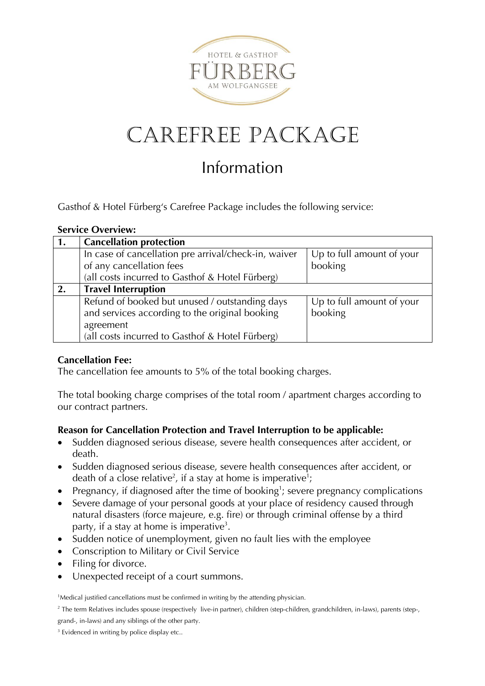

# Carefree Package

# Information

Gasthof & Hotel Fürberg's Carefree Package includes the following service:

#### **Service Overview:**

|    | <b>Cancellation protection</b>                       |                           |
|----|------------------------------------------------------|---------------------------|
|    | In case of cancellation pre arrival/check-in, waiver | Up to full amount of your |
|    | of any cancellation fees                             | booking                   |
|    | (all costs incurred to Gasthof & Hotel Fürberg)      |                           |
| 2. | <b>Travel Interruption</b>                           |                           |
|    | Refund of booked but unused / outstanding days       | Up to full amount of your |
|    | and services according to the original booking       | booking                   |
|    | agreement                                            |                           |
|    | (all costs incurred to Gasthof & Hotel Fürberg)      |                           |

#### **Cancellation Fee:**

The cancellation fee amounts to 5% of the total booking charges.

The total booking charge comprises of the total room / apartment charges according to our contract partners.

#### **Reason for Cancellation Protection and Travel Interruption to be applicable:**

- Sudden diagnosed serious disease, severe health consequences after accident, or death.
- Sudden diagnosed serious disease, severe health consequences after accident, or death of a close relative<sup>2</sup>, if a stay at home is imperative<sup>1</sup>;
- Pregnancy, if diagnosed after the time of booking<sup>1</sup>; severe pregnancy complications
- Severe damage of your personal goods at your place of residency caused through natural disasters (force majeure, e.g. fire) or through criminal offense by a third party, if a stay at home is imperative<sup>3</sup>.
- Sudden notice of unemployment, given no fault lies with the employee
- Conscription to Military or Civil Service
- Filing for divorce.
- Unexpected receipt of a court summons.

<sup>1</sup>Medical justified cancellations must be confirmed in writing by the attending physician.

<sup>2</sup> The term Relatives includes spouse (respectively live-in partner), children (step-children, grandchildren, in-laws), parents (step-, grand-, in-laws) and any siblings of the other party.

<sup>3</sup> Evidenced in writing by police display etc..